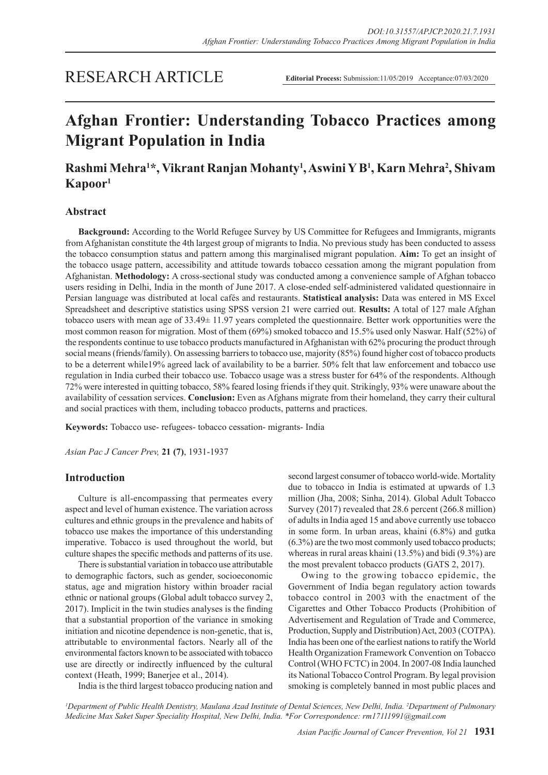# RESEARCH ARTICLE

**Editorial Process:** Submission:11/05/2019 Acceptance:07/03/2020

# **Afghan Frontier: Understanding Tobacco Practices among Migrant Population in India**

# **Rashmi Mehra1 \*, Vikrant Ranjan Mohanty1 , Aswini Y B1 , Karn Mehra2 , Shivam Kapoor1**

# **Abstract**

**Background:** According to the World Refugee Survey by US Committee for Refugees and Immigrants, migrants from Afghanistan constitute the 4th largest group of migrants to India. No previous study has been conducted to assess the tobacco consumption status and pattern among this marginalised migrant population. **Aim:** To get an insight of the tobacco usage pattern, accessibility and attitude towards tobacco cessation among the migrant population from Afghanistan. **Methodology:** A cross-sectional study was conducted among a convenience sample of Afghan tobacco users residing in Delhi, India in the month of June 2017. A close-ended self-administered validated questionnaire in Persian language was distributed at local cafés and restaurants. **Statistical analysis:** Data was entered in MS Excel Spreadsheet and descriptive statistics using SPSS version 21 were carried out. **Results:** A total of 127 male Afghan tobacco users with mean age of 33.49± 11.97 years completed the questionnaire. Better work opportunities were the most common reason for migration. Most of them (69%) smoked tobacco and 15.5% used only Naswar. Half (52%) of the respondents continue to use tobacco products manufactured in Afghanistan with 62% procuring the product through social means (friends/family). On assessing barriers to tobacco use, majority (85%) found higher cost of tobacco products to be a deterrent while19% agreed lack of availability to be a barrier. 50% felt that law enforcement and tobacco use regulation in India curbed their tobacco use. Tobacco usage was a stress buster for 64% of the respondents. Although 72% were interested in quitting tobacco, 58% feared losing friends if they quit. Strikingly, 93% were unaware about the availability of cessation services. **Conclusion:** Even as Afghans migrate from their homeland, they carry their cultural and social practices with them, including tobacco products, patterns and practices.

**Keywords:** Tobacco use- refugees- tobacco cessation- migrants- India

*Asian Pac J Cancer Prev,* **21 (7)**, 1931-1937

## **Introduction**

Culture is all-encompassing that permeates every aspect and level of human existence. The variation across cultures and ethnic groups in the prevalence and habits of tobacco use makes the importance of this understanding imperative. Tobacco is used throughout the world, but culture shapes the specific methods and patterns of its use.

There is substantial variation in tobacco use attributable to demographic factors, such as gender, socioeconomic status, age and migration history within broader racial ethnic or national groups (Global adult tobacco survey 2, 2017). Implicit in the twin studies analyses is the finding that a substantial proportion of the variance in smoking initiation and nicotine dependence is non-genetic, that is, attributable to environmental factors. Nearly all of the environmental factors known to be associated with tobacco use are directly or indirectly influenced by the cultural context (Heath, 1999; Banerjee et al., 2014).

second largest consumer of tobacco world-wide. Mortality due to tobacco in India is estimated at upwards of 1.3 million (Jha, 2008; Sinha, 2014). Global Adult Tobacco Survey (2017) revealed that 28.6 percent (266.8 million) of adults in India aged 15 and above currently use tobacco in some form. In urban areas, khaini (6.8%) and gutka (6.3%) are the two most commonly used tobacco products; whereas in rural areas khaini (13.5%) and bidi (9.3%) are the most prevalent tobacco products (GATS 2, 2017).

Owing to the growing tobacco epidemic, the Government of India began regulatory action towards tobacco control in 2003 with the enactment of the Cigarettes and Other Tobacco Products (Prohibition of Advertisement and Regulation of Trade and Commerce, Production, Supply and Distribution) Act, 2003 (COTPA). India has been one of the earliest nations to ratify the World Health Organization Framework Convention on Tobacco Control (WHO FCTC) in 2004. In 2007-08 India launched its National Tobacco Control Program. By legal provision smoking is completely banned in most public places and

India is the third largest tobacco producing nation and

*1 Department of Public Health Dentistry, Maulana Azad Institute of Dental Sciences, New Delhi, India. 2 Department of Pulmonary Medicine Max Saket Super Speciality Hospital, New Delhi, India. \*For Correspondence: rm17111991@gmail.com*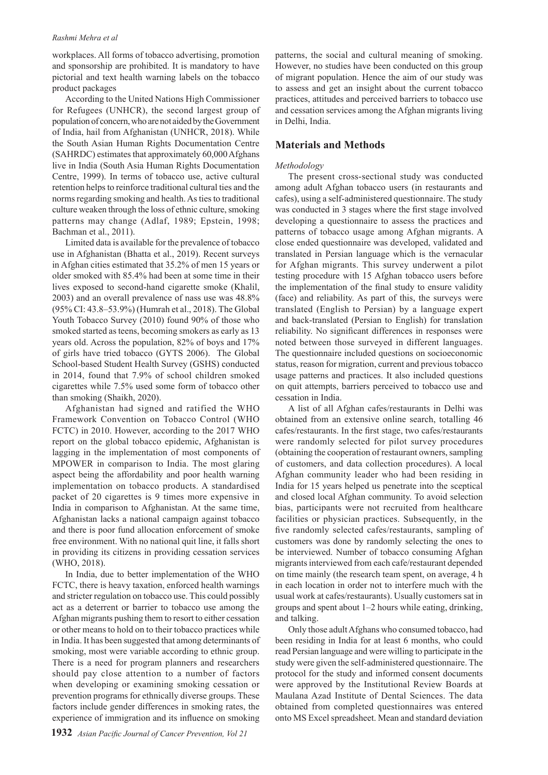#### *Rashmi Mehra et al*

workplaces. All forms of tobacco advertising, promotion and sponsorship are prohibited. It is mandatory to have pictorial and text health warning labels on the tobacco product packages

According to the United Nations High Commissioner for Refugees (UNHCR), the second largest group of population of concern, who are not aided by the Government of India, hail from Afghanistan (UNHCR, 2018). While the South Asian Human Rights Documentation Centre (SAHRDC) estimates that approximately 60,000 Afghans live in India (South Asia Human Rights Documentation Centre, 1999). In terms of tobacco use, active cultural retention helps to reinforce traditional cultural ties and the norms regarding smoking and health. As ties to traditional culture weaken through the loss of ethnic culture, smoking patterns may change (Adlaf, 1989; Epstein, 1998; Bachman et al., 2011).

Limited data is available for the prevalence of tobacco use in Afghanistan (Bhatta et al., 2019). Recent surveys in Afghan cities estimated that 35.2% of men 15 years or older smoked with 85.4% had been at some time in their lives exposed to second-hand cigarette smoke (Khalil, 2003) and an overall prevalence of nass use was 48.8% (95% CI: 43.8–53.9%) (Humrah et al., 2018). The Global Youth Tobacco Survey (2010) found 90% of those who smoked started as teens, becoming smokers as early as 13 years old. Across the population, 82% of boys and 17% of girls have tried tobacco (GYTS 2006). The Global School-based Student Health Survey (GSHS) conducted in 2014, found that 7.9% of school children smoked cigarettes while 7.5% used some form of tobacco other than smoking (Shaikh, 2020).

Afghanistan had signed and ratified the WHO Framework Convention on Tobacco Control (WHO FCTC) in 2010. However, according to the 2017 WHO report on the global tobacco epidemic, Afghanistan is lagging in the implementation of most components of MPOWER in comparison to India. The most glaring aspect being the affordability and poor health warning implementation on tobacco products. A standardised packet of 20 cigarettes is 9 times more expensive in India in comparison to Afghanistan. At the same time, Afghanistan lacks a national campaign against tobacco and there is poor fund allocation enforcement of smoke free environment. With no national quit line, it falls short in providing its citizens in providing cessation services (WHO, 2018).

In India, due to better implementation of the WHO FCTC, there is heavy taxation, enforced health warnings and stricter regulation on tobacco use. This could possibly act as a deterrent or barrier to tobacco use among the Afghan migrants pushing them to resort to either cessation or other means to hold on to their tobacco practices while in India. It has been suggested that among determinants of smoking, most were variable according to ethnic group. There is a need for program planners and researchers should pay close attention to a number of factors when developing or examining smoking cessation or prevention programs for ethnically diverse groups. These factors include gender differences in smoking rates, the experience of immigration and its influence on smoking

patterns, the social and cultural meaning of smoking. However, no studies have been conducted on this group of migrant population. Hence the aim of our study was to assess and get an insight about the current tobacco practices, attitudes and perceived barriers to tobacco use and cessation services among the Afghan migrants living in Delhi, India.

## **Materials and Methods**

#### *Methodology*

The present cross-sectional study was conducted among adult Afghan tobacco users (in restaurants and cafes), using a self-administered questionnaire. The study was conducted in 3 stages where the first stage involved developing a questionnaire to assess the practices and patterns of tobacco usage among Afghan migrants. A close ended questionnaire was developed, validated and translated in Persian language which is the vernacular for Afghan migrants. This survey underwent a pilot testing procedure with 15 Afghan tobacco users before the implementation of the final study to ensure validity (face) and reliability. As part of this, the surveys were translated (English to Persian) by a language expert and back-translated (Persian to English) for translation reliability. No significant differences in responses were noted between those surveyed in different languages. The questionnaire included questions on socioeconomic status, reason for migration, current and previous tobacco usage patterns and practices. It also included questions on quit attempts, barriers perceived to tobacco use and cessation in India.

A list of all Afghan cafes/restaurants in Delhi was obtained from an extensive online search, totalling 46 cafes/restaurants. In the first stage, two cafes/restaurants were randomly selected for pilot survey procedures (obtaining the cooperation of restaurant owners, sampling of customers, and data collection procedures). A local Afghan community leader who had been residing in India for 15 years helped us penetrate into the sceptical and closed local Afghan community. To avoid selection bias, participants were not recruited from healthcare facilities or physician practices. Subsequently, in the five randomly selected cafes/restaurants, sampling of customers was done by randomly selecting the ones to be interviewed. Number of tobacco consuming Afghan migrants interviewed from each cafe/restaurant depended on time mainly (the research team spent, on average, 4 h in each location in order not to interfere much with the usual work at cafes/restaurants). Usually customers sat in groups and spent about 1–2 hours while eating, drinking, and talking.

Only those adult Afghans who consumed tobacco, had been residing in India for at least 6 months, who could read Persian language and were willing to participate in the study were given the self-administered questionnaire. The protocol for the study and informed consent documents were approved by the Institutional Review Boards at Maulana Azad Institute of Dental Sciences. The data obtained from completed questionnaires was entered onto MS Excel spreadsheet. Mean and standard deviation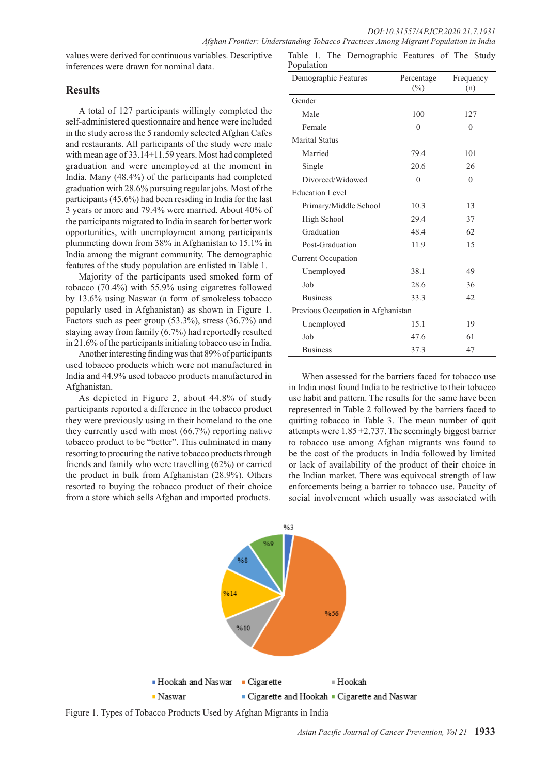values were derived for continuous variables. Descriptive inferences were drawn for nominal data.

# **Results**

A total of 127 participants willingly completed the self-administered questionnaire and hence were included in the study across the 5 randomly selected Afghan Cafes and restaurants. All participants of the study were male with mean age of 33.14±11.59 years. Most had completed graduation and were unemployed at the moment in India. Many (48.4%) of the participants had completed graduation with 28.6% pursuing regular jobs. Most of the participants (45.6%) had been residing in India for the last 3 years or more and 79.4% were married. About 40% of the participants migrated to India in search for better work opportunities, with unemployment among participants plummeting down from 38% in Afghanistan to 15.1% in India among the migrant community. The demographic features of the study population are enlisted in Table 1.

Majority of the participants used smoked form of tobacco (70.4%) with 55.9% using cigarettes followed by 13.6% using Naswar (a form of smokeless tobacco popularly used in Afghanistan) as shown in Figure 1. Factors such as peer group (53.3%), stress (36.7%) and staying away from family (6.7%) had reportedly resulted in 21.6% of the participants initiating tobacco use in India.

Another interesting finding was that 89% of participants used tobacco products which were not manufactured in India and 44.9% used tobacco products manufactured in Afghanistan.

As depicted in Figure 2, about 44.8% of study participants reported a difference in the tobacco product they were previously using in their homeland to the one they currently used with most (66.7%) reporting native tobacco product to be "better". This culminated in many resorting to procuring the native tobacco products through friends and family who were travelling (62%) or carried the product in bulk from Afghanistan (28.9%). Others resorted to buying the tobacco product of their choice from a store which sells Afghan and imported products.

| Demographic Features               | Percentage | Frequency |  |
|------------------------------------|------------|-----------|--|
|                                    | $(\%)$     | (n)       |  |
| Gender                             |            |           |  |
| Male                               | 100        | 127       |  |
| Female                             | $\theta$   | $\theta$  |  |
| <b>Marital Status</b>              |            |           |  |
| Married                            | 79.4       | 101       |  |
| Single                             | 20.6       | 26        |  |
| Divorced/Widowed                   | $\theta$   | $\theta$  |  |
| <b>Education Level</b>             |            |           |  |
| Primary/Middle School              | 10.3       | 13        |  |
| High School                        | 29.4       | 37        |  |
| Graduation                         | 48.4       | 62        |  |
| Post-Graduation                    | 11.9       | 15        |  |
| <b>Current Occupation</b>          |            |           |  |
| Unemployed                         | 38.1       | 49        |  |
| Job                                | 28.6       | 36        |  |
| <b>Business</b>                    | 33.3       | 42        |  |
| Previous Occupation in Afghanistan |            |           |  |
| Unemployed                         | 15.1       | 19        |  |
| Job                                | 47.6       | 61        |  |
| <b>Business</b>                    | 37.3       | 47        |  |

Table 1. The Demographic Features of The Study

When assessed for the barriers faced for tobacco use in India most found India to be restrictive to their tobacco use habit and pattern. The results for the same have been represented in Table 2 followed by the barriers faced to quitting tobacco in Table 3. The mean number of quit attempts were  $1.85 \pm 2.737$ . The seemingly biggest barrier to tobacco use among Afghan migrants was found to be the cost of the products in India followed by limited or lack of availability of the product of their choice in the Indian market. There was equivocal strength of law enforcements being a barrier to tobacco use. Paucity of social involvement which usually was associated with



Figure 1. Types of Tobacco Products Used by Afghan Migrants in India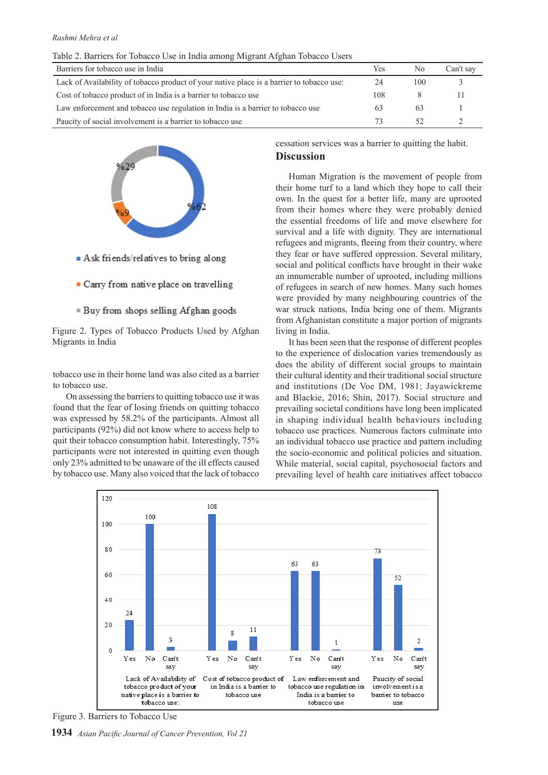| Barriers for tobacco use in India                                                         | Yes | N0  | Can't sav |
|-------------------------------------------------------------------------------------------|-----|-----|-----------|
| Lack of Availability of tobacco product of your native place is a barrier to tobacco use: | 24  | 100 |           |
| Cost of tobacco product of in India is a barrier to tobacco use                           | 108 |     |           |
| Law enforcement and tobacco use regulation in India is a barrier to tobacco use           |     | 63  |           |
| Paucity of social involvement is a barrier to tobacco use                                 |     |     |           |



- $\blacksquare$  Ask friends/relatives to bring along
- Carry from native place on travelling
- Buy from shops selling Afghan goods

Figure 2. Types of Tobacco Products Used by Afghan Migrants in India

tobacco use in their home land was also cited as a barrier to tobacco use.

On assessing the barriers to quitting tobacco use it was found that the fear of losing friends on quitting tobacco was expressed by 58.2% of the participants. Almost all participants (92%) did not know where to access help to quit their tobacco consumption habit. Interestingly, 75% participants were not interested in quitting even though only 23% admitted to be unaware of the ill effects caused by tobacco use. Many also voiced that the lack of tobacco cessation services was a barrier to quitting the habit. **Discussion**

Human Migration is the movement of people from their home turf to a land which they hope to call their own. In the quest for a better life, many are uprooted from their homes where they were probably denied the essential freedoms of life and move elsewhere for survival and a life with dignity. They are international refugees and migrants, fleeing from their country, where they fear or have suffered oppression. Several military, social and political conflicts have brought in their wake an innumerable number of uprooted, including millions of refugees in search of new homes. Many such homes were provided by many neighbouring countries of the war struck nations, India being one of them. Migrants from Afghanistan constitute a major portion of migrants living in India.

It has been seen that the response of different peoples to the experience of dislocation varies tremendously as does the ability of different social groups to maintain their cultural identity and their traditional social structure and institutions (De Voe DM, 1981; Jayawickreme and Blackie, 2016; Shin, 2017). Social structure and prevailing societal conditions have long been implicated in shaping individual health behaviours including tobacco use practices. Numerous factors culminate into an individual tobacco use practice and pattern including the socio-economic and political policies and situation. While material, social capital, psychosocial factors and prevailing level of health care initiatives affect tobacco



Figure 3. Barriers to Tobacco Use

**1934** *Asian Pacific Journal of Cancer Prevention, Vol 21*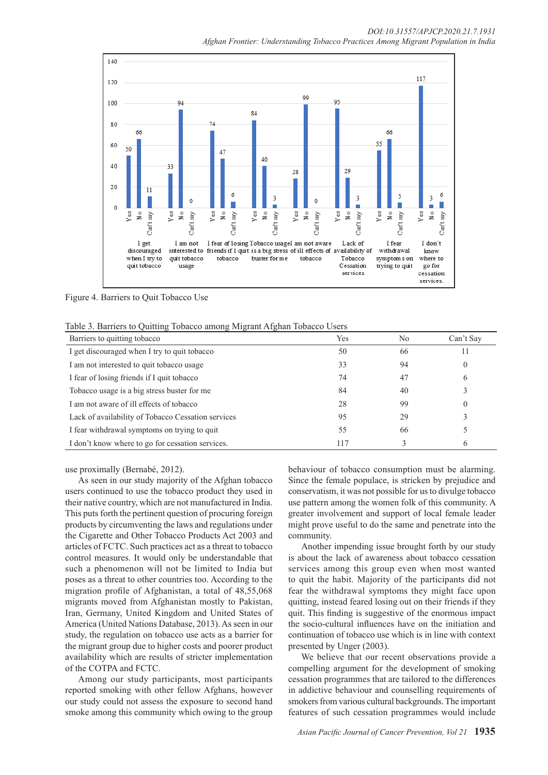

Figure 4. Barriers to Quit Tobacco Use

|  | Table 3. Barriers to Quitting Tobacco among Migrant Afghan Tobacco Users |  |
|--|--------------------------------------------------------------------------|--|
|--|--------------------------------------------------------------------------|--|

| Barriers to quitting tobacco                       | Yes | N <sub>0</sub> | Can't Say    |
|----------------------------------------------------|-----|----------------|--------------|
| I get discouraged when I try to quit tobacco       | 50  | 66             |              |
| I am not interested to quit tobacco usage          | 33  | 94             | $\theta$     |
| I fear of losing friends if I quit tobacco         | 74  | 47             | 6            |
| Tobacco usage is a big stress buster for me        | 84  | 40             |              |
| I am not aware of ill effects of tobacco           | 28  | 99             |              |
| Lack of availability of Tobacco Cessation services | 95  | 29             |              |
| I fear withdrawal symptoms on trying to quit       | 55  | 66             |              |
| I don't know where to go for cessation services.   | 117 |                | <sub>(</sub> |

use proximally (Bernabé, 2012).

As seen in our study majority of the Afghan tobacco users continued to use the tobacco product they used in their native country, which are not manufactured in India. This puts forth the pertinent question of procuring foreign products by circumventing the laws and regulations under the Cigarette and Other Tobacco Products Act 2003 and articles of FCTC. Such practices act as a threat to tobacco control measures. It would only be understandable that such a phenomenon will not be limited to India but poses as a threat to other countries too. According to the migration profile of Afghanistan, a total of 48,55,068 migrants moved from Afghanistan mostly to Pakistan, Iran, Germany, United Kingdom and United States of America (United Nations Database, 2013). As seen in our study, the regulation on tobacco use acts as a barrier for the migrant group due to higher costs and poorer product availability which are results of stricter implementation of the COTPA and FCTC.

Among our study participants, most participants reported smoking with other fellow Afghans, however our study could not assess the exposure to second hand smoke among this community which owing to the group behaviour of tobacco consumption must be alarming. Since the female populace, is stricken by prejudice and conservatism, it was not possible for us to divulge tobacco use pattern among the women folk of this community. A greater involvement and support of local female leader might prove useful to do the same and penetrate into the community.

Another impending issue brought forth by our study is about the lack of awareness about tobacco cessation services among this group even when most wanted to quit the habit. Majority of the participants did not fear the withdrawal symptoms they might face upon quitting, instead feared losing out on their friends if they quit. This finding is suggestive of the enormous impact the socio-cultural influences have on the initiation and continuation of tobacco use which is in line with context presented by Unger (2003).

We believe that our recent observations provide a compelling argument for the development of smoking cessation programmes that are tailored to the differences in addictive behaviour and counselling requirements of smokers from various cultural backgrounds. The important features of such cessation programmes would include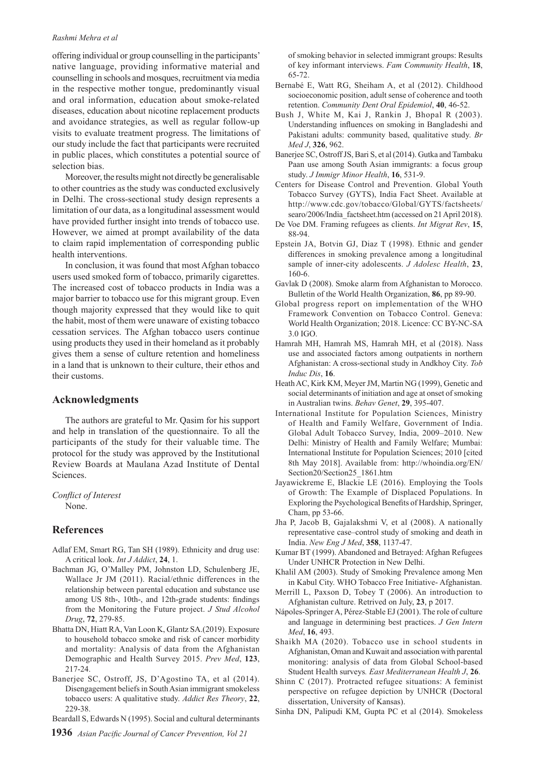#### *Rashmi Mehra et al*

offering individual or group counselling in the participants' native language, providing informative material and counselling in schools and mosques, recruitment via media in the respective mother tongue, predominantly visual and oral information, education about smoke-related diseases, education about nicotine replacement products and avoidance strategies, as well as regular follow-up visits to evaluate treatment progress. The limitations of our study include the fact that participants were recruited in public places, which constitutes a potential source of selection bias.

Moreover, the results might not directly be generalisable to other countries as the study was conducted exclusively in Delhi. The cross-sectional study design represents a limitation of our data, as a longitudinal assessment would have provided further insight into trends of tobacco use. However, we aimed at prompt availability of the data to claim rapid implementation of corresponding public health interventions.

In conclusion, it was found that most Afghan tobacco users used smoked form of tobacco, primarily cigarettes. The increased cost of tobacco products in India was a major barrier to tobacco use for this migrant group. Even though majority expressed that they would like to quit the habit, most of them were unaware of existing tobacco cessation services. The Afghan tobacco users continue using products they used in their homeland as it probably gives them a sense of culture retention and homeliness in a land that is unknown to their culture, their ethos and their customs.

#### **Acknowledgments**

The authors are grateful to Mr. Qasim for his support and help in translation of the questionnaire. To all the participants of the study for their valuable time. The protocol for the study was approved by the Institutional Review Boards at Maulana Azad Institute of Dental Sciences.

*Conflict of Interest* None.

### **References**

- Adlaf EM, Smart RG, Tan SH (1989). Ethnicity and drug use: A critical look. *Int J Addict*, **24**, 1.
- Bachman JG, O'Malley PM, Johnston LD, Schulenberg JE, Wallace Jr JM (2011). Racial/ethnic differences in the relationship between parental education and substance use among US 8th-, 10th-, and 12th-grade students: findings from the Monitoring the Future project. *J Stud Alcohol Drug*, **72**, 279-85.
- Bhatta DN, Hiatt RA, Van Loon K, Glantz SA.(2019). Exposure to household tobacco smoke and risk of cancer morbidity and mortality: Analysis of data from the Afghanistan Demographic and Health Survey 2015. *Prev Med*, **123**, 217-24.
- Banerjee SC, Ostroff, JS, D'Agostino TA, et al (2014). Disengagement beliefs in South Asian immigrant smokeless tobacco users: A qualitative study. *Addict Res Theory*, **22**, 229-38.

Beardall S, Edwards N (1995). Social and cultural determinants

**1936** *Asian Pacific Journal of Cancer Prevention, Vol 21*

of smoking behavior in selected immigrant groups: Results of key informant interviews. *Fam Community Health*, **18**, 65-72.

- Bernabé E, Watt RG, Sheiham A, et al (2012). Childhood socioeconomic position, adult sense of coherence and tooth retention. *Community Dent Oral Epidemiol*, **40**, 46-52.
- Bush J, White M, Kai J, Rankin J, Bhopal R (2003). Understanding influences on smoking in Bangladeshi and Pakistani adults: community based, qualitative study. *Br Med J*, **326**, 962.
- Banerjee SC, Ostroff JS, Bari S, et al (2014). Gutka and Tambaku Paan use among South Asian immigrants: a focus group study. *J Immigr Minor Health*, **16**, 531-9.
- Centers for Disease Control and Prevention. Global Youth Tobacco Survey (GYTS), India Fact Sheet. Available at http://www.cdc.gov/tobacco/Global/GYTS/factsheets/ searo/2006/India\_factsheet.htm (accessed on 21 April 2018).
- De Voe DM. Framing refugees as clients. *Int Migrat Rev*, **15**, 88-94.
- Epstein JA, Botvin GJ, Diaz T (1998). Ethnic and gender differences in smoking prevalence among a longitudinal sample of inner-city adolescents. *J Adolesc Health*, **23**, 160-6.
- Gavlak D (2008). Smoke alarm from Afghanistan to Morocco. Bulletin of the World Health Organization, **86**, pp 89-90.
- Global progress report on implementation of the WHO Framework Convention on Tobacco Control. Geneva: World Health Organization; 2018. Licence: CC BY-NC-SA 3.0 IGO.
- Hamrah MH, Hamrah MS, Hamrah MH, et al (2018). Nass use and associated factors among outpatients in northern Afghanistan: A cross-sectional study in Andkhoy City. *Tob Induc Dis*, **16**.
- Heath AC, Kirk KM, Meyer JM, Martin NG (1999), Genetic and social determinants of initiation and age at onset of smoking in Australian twins. *Behav Genet*, **29**, 395-407.
- International Institute for Population Sciences, Ministry of Health and Family Welfare, Government of India. Global Adult Tobacco Survey, India, 2009–2010. New Delhi: Ministry of Health and Family Welfare; Mumbai: International Institute for Population Sciences; 2010 [cited 8th May 2018]. Available from: http://whoindia.org/EN/ Section20/Section25\_1861.htm
- Jayawickreme E, Blackie LE (2016). Employing the Tools of Growth: The Example of Displaced Populations. In Exploring the Psychological Benefits of Hardship, Springer, Cham, pp 53-66.
- Jha P, Jacob B, Gajalakshmi V, et al (2008). A nationally representative case–control study of smoking and death in India. *New Eng J Med*, **358**, 1137-47.
- Kumar BT (1999). Abandoned and Betrayed: Afghan Refugees Under UNHCR Protection in New Delhi.
- Khalil AM (2003). Study of Smoking Prevalence among Men in Kabul City. WHO Tobacco Free Initiative- Afghanistan.
- Merrill L, Paxson D, Tobey T (2006). An introduction to Afghanistan culture. Retrived on July, **23**, p 2017.
- Nápoles-Springer A, Pérez-Stable EJ (2001). The role of culture and language in determining best practices. *J Gen Intern Med*, **16**, 493.
- Shaikh MA (2020). Tobacco use in school students in Afghanistan, Oman and Kuwait and association with parental monitoring: analysis of data from Global School-based Student Health surveys*. East Mediterranean Health J*, **26**.
- Shinn C (2017). Protracted refugee situations: A feminist perspective on refugee depiction by UNHCR (Doctoral dissertation, University of Kansas).
- Sinha DN, Palipudi KM, Gupta PC et al (2014). Smokeless